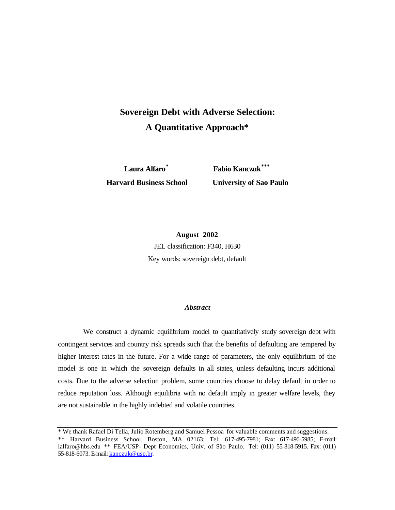# **Sovereign Debt with Adverse Selection: A Quantitative Approach\***

**Laura Alfaro\* Harvard Business School University of Sao Paulo**

 **Fabio Kanczuk\*\*\***

**August 2002** JEL classification: F340, H630 Key words: sovereign debt, default

# *Abstract*

We construct a dynamic equilibrium model to quantitatively study sovereign debt with contingent services and country risk spreads such that the benefits of defaulting are tempered by higher interest rates in the future. For a wide range of parameters, the only equilibrium of the model is one in which the sovereign defaults in all states, unless defaulting incurs additional costs. Due to the adverse selection problem, some countries choose to delay default in order to reduce reputation loss. Although equilibria with no default imply in greater welfare levels, they are not sustainable in the highly indebted and volatile countries.

<sup>\*</sup> We thank Rafael Di Tella, Julio Rotemberg and Samuel Pessoa for valuable comments and suggestions. \*\* Harvard Business School, Boston, MA 02163; Tel: 617-495-7981; Fax: 617-496-5985; E-mail: lalfaro@hbs.edu \*\* FEA/USP- Dept Economics, Univ. of São Paulo. Tel: (011) 55-818-5915. Fax: (011) 55-818-6073. E-mail: **kanczuk@usp.br.**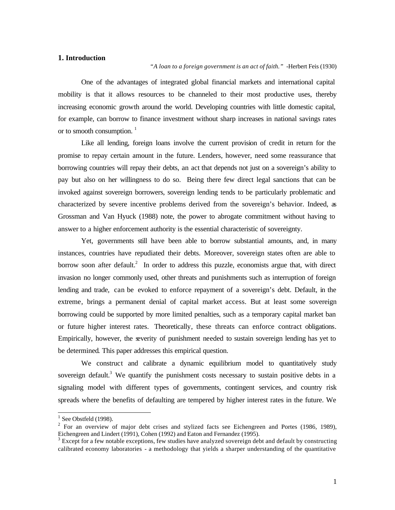# **1. Introduction**

#### *"A loan to a foreign government is an act of faith." -*Herbert Feis (1930)

One of the advantages of integrated global financial markets and international capital mobility is that it allows resources to be channeled to their most productive uses, thereby increasing economic growth around the world. Developing countries with little domestic capital, for example, can borrow to finance investment without sharp increases in national savings rates or to smooth consumption.  $\frac{1}{1}$ 

Like all lending, foreign loans involve the current provision of credit in return for the promise to repay certain amount in the future. Lenders, however, need some reassurance that borrowing countries will repay their debts, an act that depends not just on a sovereign's ability to pay but also on her willingness to do so. Being there few direct legal sanctions that can be invoked against sovereign borrowers, sovereign lending tends to be particularly problematic and characterized by severe incentive problems derived from the sovereign's behavior. Indeed, as Grossman and Van Hyuck (1988) note, the power to abrogate commitment without having to answer to a higher enforcement authority is the essential characteristic of sovereignty.

Yet, governments still have been able to borrow substantial amounts, and, in many instances, countries have repudiated their debts. Moreover, sovereign states often are able to borrow soon after default.<sup>2</sup> In order to address this puzzle, economists argue that, with direct invasion no longer commonly used, other threats and punishments such as interruption of foreign lending and trade, can be evoked to enforce repayment of a sovereign's debt. Default, in the extreme, brings a permanent denial of capital market access. But at least some sovereign borrowing could be supported by more limited penalties, such as a temporary capital market ban or future higher interest rates. Theoretically, these threats can enforce contract obligations. Empirically, however, the severity of punishment needed to sustain sovereign lending has yet to be determined. This paper addresses this empirical question.

We construct and calibrate a dynamic equilibrium model to quantitatively study sovereign default.<sup>3</sup> We quantify the punishment costs necessary to sustain positive debts in a signaling model with different types of governments, contingent services, and country risk spreads where the benefits of defaulting are tempered by higher interest rates in the future. We

 $\frac{1}{1}$  See Obstfeld (1998).

 $2$  For an overview of major debt crises and stylized facts see Eichengreen and Portes (1986, 1989), Eichengreen and Lindert (1991), Cohen (1992) and Eaton and Fernandez (1995).

 $3$  Except for a few notable exceptions, few studies have analyzed sovereign debt and default by constructing calibrated economy laboratories - a methodology that yields a sharper understanding of the quantitative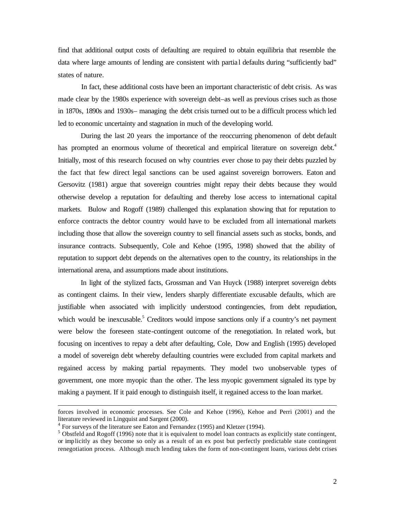find that additional output costs of defaulting are required to obtain equilibria that resemble the data where large amounts of lending are consistent with partial defaults during "sufficiently bad" states of nature.

In fact, these additional costs have been an important characteristic of debt crisis.As was made clear by the 1980s experience with sovereign debt–as well as previous crises such as those in 1870s, 1890s and 1930s– managing the debt crisis turned out to be a difficult process which led led to economic uncertainty and stagnation in much of the developing world.

During the last 20 years the importance of the reoccurring phenomenon of debt default has prompted an enormous volume of theoretical and empirical literature on sovereign debt.<sup>4</sup> Initially, most of this research focused on why countries ever chose to pay their debts puzzled by the fact that few direct legal sanctions can be used against sovereign borrowers. Eaton and Gersovitz (1981) argue that sovereign countries might repay their debts because they would otherwise develop a reputation for defaulting and thereby lose access to international capital markets. Bulow and Rogoff (1989) challenged this explanation showing that for reputation to enforce contracts the debtor country would have to be excluded from all international markets including those that allow the sovereign country to sell financial assets such as stocks, bonds, and insurance contracts. Subsequently, Cole and Kehoe (1995, 1998) showed that the ability of reputation to support debt depends on the alternatives open to the country, its relationships in the international arena, and assumptions made about institutions.

In light of the stylized facts, Grossman and Van Huyck (1988) interpret sovereign debts as contingent claims. In their view, lenders sharply differentiate excusable defaults, which are justifiable when associated with implicitly understood contingencies, from debt repudiation, which would be inexcusable.<sup>5</sup> Creditors would impose sanctions only if a country's net payment were below the foreseen state-contingent outcome of the renegotiation. In related work, but focusing on incentives to repay a debt after defaulting, Cole, Dow and English (1995) developed a model of sovereign debt whereby defaulting countries were excluded from capital markets and regained access by making partial repayments. They model two unobservable types of government, one more myopic than the other. The less myopic government signaled its type by making a payment. If it paid enough to distinguish itself, it regained access to the loan market.

l

forces involved in economic processes. See Cole and Kehoe (1996), Kehoe and Perri (2001) and the literature reviewed in Lingquist and Sargent (2000).

<sup>&</sup>lt;sup>4</sup> For surveys of the literature see Eaton and Fernandez (1995) and Kletzer (1994).

<sup>&</sup>lt;sup>5</sup> Obstfeld and Rogoff (1996) note that it is equivalent to model loan contracts as explicitly state contingent, or implicitly as they become so only as a result of an ex post but perfectly predictable state contingent renegotiation process. Although much lending takes the form of non-contingent loans, various debt crises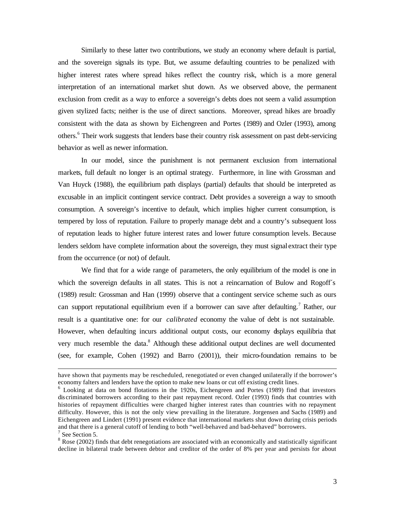Similarly to these latter two contributions, we study an economy where default is partial, and the sovereign signals its type. But, we assume defaulting countries to be penalized with higher interest rates where spread hikes reflect the country risk, which is a more general interpretation of an international market shut down. As we observed above, the permanent exclusion from credit as a way to enforce a sovereign's debts does not seem a valid assumption given stylized facts; neither is the use of direct sanctions. Moreover, spread hikes are broadly consistent with the data as shown by Eichengreen and Portes (1989) and Ozler (1993), among others.<sup>6</sup> Their work suggests that lenders base their country risk assessment on past debt-servicing behavior as well as newer information.

In our model, since the punishment is not permanent exclusion from international markets, full default no longer is an optimal strategy. Furthermore, in line with Grossman and Van Huyck (1988), the equilibrium path displays (partial) defaults that should be interpreted as excusable in an implicit contingent service contract. Debt provides a sovereign a way to smooth consumption. A sovereign's incentive to default, which implies higher current consumption, is tempered by loss of reputation. Failure to properly manage debt and a country's subsequent loss of reputation leads to higher future interest rates and lower future consumption levels. Because lenders seldom have complete information about the sovereign, they must signal extract their type from the occurrence (or not) of default.

We find that for a wide range of parameters, the only equilibrium of the model is one in which the sovereign defaults in all states. This is not a reincarnation of Bulow and Rogoff's (1989) result: Grossman and Han (1999) observe that a contingent service scheme such as ours can support reputational equilibrium even if a borrower can save after defaulting.<sup>7</sup> Rather, our result is a quantitative one: for our *calibrated* economy the value of debt is not sustainable. However, when defaulting incurs additional output costs, our economy displays equilibria that very much resemble the data.<sup>8</sup> Although these additional output declines are well documented (see, for example, Cohen (1992) and Barro (2001)), their micro-foundation remains to be

l

 $8$  Rose (2002) finds that debt renegotiations are associated with an economically and statistically significant decline in bilateral trade between debtor and creditor of the order of 8% per year and persists for about

have shown that payments may be rescheduled, renegotiated or even changed unilaterally if the borrower's economy falters and lenders have the option to make new loans or cut off existing credit lines.

<sup>&</sup>lt;sup>6</sup> Looking at data on bond flotations in the 1920s, Eichengreen and Portes (1989) find that investors dis criminated borrowers according to their past repayment record. Ozler (1993) finds that countries with histories of repayment difficulties were charged higher interest rates than countries with no repayment difficulty. However, this is not the only view prevailing in the literature. Jorgensen and Sachs (1989) and Eichengreen and Lindert (1991) present evidence that international markets shut down during crisis periods and that there is a general cutoff of lending to both "well-behaved and bad-behaved" borrowers.

<sup>&</sup>lt;sup>7</sup> See Section 5.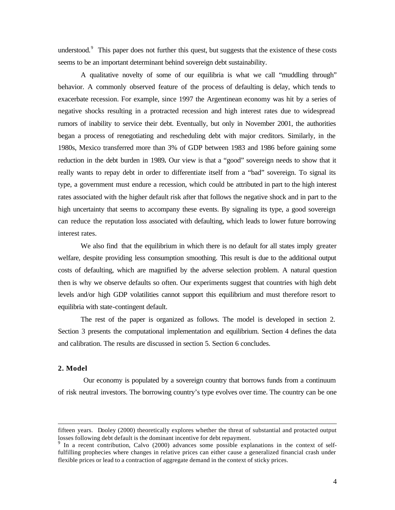understood.<sup>9</sup> This paper does not further this quest, but suggests that the existence of these costs seems to be an important determinant behind sovereign debt sustainability.

A qualitative novelty of some of our equilibria is what we call "muddling through" behavior. A commonly observed feature of the process of defaulting is delay, which tends to exacerbate recession. For example, since 1997 the Argentinean economy was hit by a series of negative shocks resulting in a protracted recession and high interest rates due to widespread rumors of inability to service their debt. Eventually, but only in November 2001, the authorities began a process of renegotiating and rescheduling debt with major creditors. Similarly, in the 1980s, Mexico transferred more than 3% of GDP between 1983 and 1986 before gaining some reduction in the debt burden in 1989**.** Our view is that a "good" sovereign needs to show that it really wants to repay debt in order to differentiate itself from a "bad" sovereign. To signal its type, a government must endure a recession, which could be attributed in part to the high interest rates associated with the higher default risk after that follows the negative shock and in part to the high uncertainty that seems to accompany these events. By signaling its type, a good sovereign can reduce the reputation loss associated with defaulting, which leads to lower future borrowing interest rates.

We also find that the equilibrium in which there is no default for all states imply greater welfare, despite providing less consumption smoothing. This result is due to the additional output costs of defaulting, which are magnified by the adverse selection problem. A natural question then is why we observe defaults so often. Our experiments suggest that countries with high debt levels and/or high GDP volatilities cannot support this equilibrium and must therefore resort to equilibria with state-contingent default.

The rest of the paper is organized as follows. The model is developed in section 2. Section 3 presents the computational implementation and equilibrium. Section 4 defines the data and calibration. The results are discussed in section 5. Section 6 concludes.

# **2. Model**

l

 Our economy is populated by a sovereign country that borrows funds from a continuum of risk neutral investors. The borrowing country's type evolves over time. The country can be one

fifteen years. Dooley (2000) theoretically explores whether the threat of substantial and protacted output losses following debt default is the dominant incentive for debt repayment.

<sup>&</sup>lt;sup>9</sup> In a recent contribution, Calvo (2000) advances some possible explanations in the context of selffulfilling prophecies where changes in relative prices can either cause a generalized financial crash under flexible prices or lead to a contraction of aggregate demand in the context of sticky prices.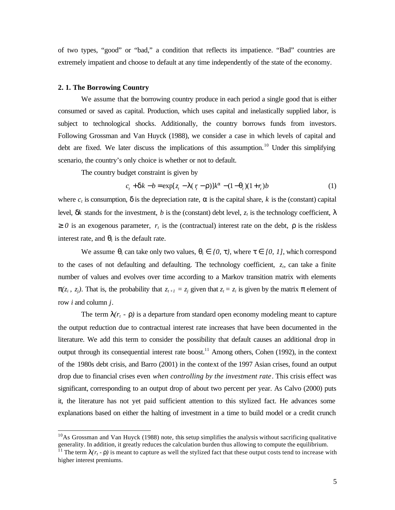of two types, "good" or "bad," a condition that reflects its impatience. "Bad" countries are extremely impatient and choose to default at any time independently of the state of the economy.

#### **2. 1. The Borrowing Country**

l

We assume that the borrowing country produce in each period a single good that is either consumed or saved as capital. Production, which uses capital and inelastically supplied labor, is subject to technological shocks. Additionally, the country borrows funds from investors. Following Grossman and Van Huyck (1988), we consider a case in which levels of capital and debt are fixed. We later discuss the implications of this assumption.<sup>10</sup> Under this simplifying scenario, the country's only choice is whether or not to default.

The country budget constraint is given by

$$
c_t + dk - b = \exp[z_t - l(\, r - r)]k^a - (1 - q_t)(1 + r_t)b \tag{1}
$$

where  $c_t$  is consumption, *d* is the depreciation rate,  $\alpha$  is the capital share, *k* is the (constant) capital level, *dk* stands for the investment, *b* is the (constant) debt level, *z<sup>t</sup>* is the technology coefficient, *l*  $\frac{3}{9}$  is an exogenous parameter,  $r_t$  is the (contractual) interest rate on the debt, *r* is the riskless interest rate, and  $q_t$  is the default rate.

We assume  $q_t$  can take only two values,  $q_t \tilde{I}$  {0,  $t$ }, where  $t \tilde{I}$  [0, 1], which correspond to the cases of not defaulting and defaulting. The technology coefficient,  $z_t$ , can take a finite number of values and evolves over time according to a Markov transition matrix with elements  $p(z_i, z_j)$ . That is, the probability that  $z_{t+1} = z_j$  given that  $z_t = z_i$  is given by the matrix *p* element of row *i* and column *j*.

The term  $I(r_t - r)$  is a departure from standard open economy modeling meant to capture the output reduction due to contractual interest rate increases that have been documented in the literature. We add this term to consider the possibility that default causes an additional drop in output through its consequential interest rate boost.<sup>11</sup> Among others, Cohen (1992), in the context of the 1980s debt crisis, and Barro (2001) in the context of the 1997 Asian crises, found an output drop due to financial crises even *when controlling by the investment rate*. This crisis effect was significant, corresponding to an output drop of about two percent per year. As Calvo (2000) puts it, the literature has not yet paid sufficient attention to this stylized fact. He advances some explanations based on either the halting of investment in a time to build model or a credit crunch

 $10$ As Grossman and Van Huyck (1988) note, this setup simplifies the analysis without sacrificing qualitative generality. In addition, it greatly reduces the calculation burden thus allowing to compute the equilibrium.

<sup>&</sup>lt;sup>11</sup> The term  $I(r_t - r)$  is meant to capture as well the stylized fact that these output costs tend to increase with higher interest premiums.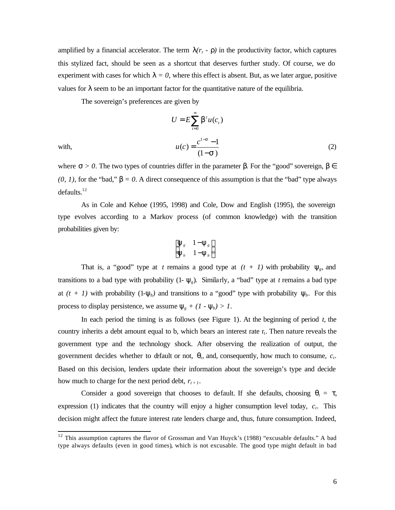amplified by a financial accelerator. The term  $I(r_t - r)$  in the productivity factor, which captures this stylized fact, should be seen as a shortcut that deserves further study. Of course, we do experiment with cases for which  $\mathbf{l} = 0$ , where this effect is absent. But, as we later argue, positive values for *l* seem to be an important factor for the quantitative nature of the equilibria.

The sovereign's preferences are given by

$$
U = E \sum_{t=0}^{\infty} b^t u(c_t)
$$
  

$$
u(c) = \frac{c^{1-s} - 1}{(1-s)}
$$
 (2)

with,

l

where  $s > 0$ . The two types of countries differ in the parameter **b**. For the "good" sovereign, **b**  $\hat{I}$  $(0, 1)$ , for the "bad,"  $\mathbf{b} = 0$ . A direct consequence of this assumption is that the "bad" type always  $defaults.<sup>12</sup>$ 

As in Cole and Kehoe (1995, 1998) and Cole, Dow and English (1995), the sovereign type evolves according to a Markov process (of common knowledge) with the transition probabilities given by:

$$
\begin{bmatrix} \mathbf{y}_{s} & 1-\mathbf{y}_{s} \\ \mathbf{y}_{b} & 1-\mathbf{y}_{b} \end{bmatrix}
$$

That is, a "good" type at *t* remains a good type at  $(t + 1)$  with probability  $y_g$ , and transitions to a bad type with probability  $(1 - y_g)$ . Similarly, a "bad" type at *t* remains a bad type at  $(t + 1)$  with probability  $(1-y_b)$  and transitions to a "good" type with probability  $y_b$ . For this process to display persistence, we assume  $y_g + (1 - y_b) > 1$ .

In each period the timing is as follows (see Figure 1). At the beginning of period *t*, the country inherits a debt amount equal to b, which bears an interest rate  $r_t$ . Then nature reveals the government type and the technology shock. After observing the realization of output, the government decides whether to default or not,  $q_t$ , and, consequently, how much to consume,  $c_t$ . Based on this decision, lenders update their information about the sovereign's type and decide how much to charge for the next period debt,  $r_{t+1}$ .

Consider a good sovereign that chooses to default. If she defaults, choosing  $q_t = t$ , expression (1) indicates that the country will enjoy a higher consumption level today, *c<sup>t</sup>* . This decision might affect the future interest rate lenders charge and, thus, future consumption. Indeed,

 $12$  This assumption captures the flavor of Grossman and Van Huyck's (1988) "excusable defaults." A bad type always defaults (even in good times), which is not excusable. The good type might default in bad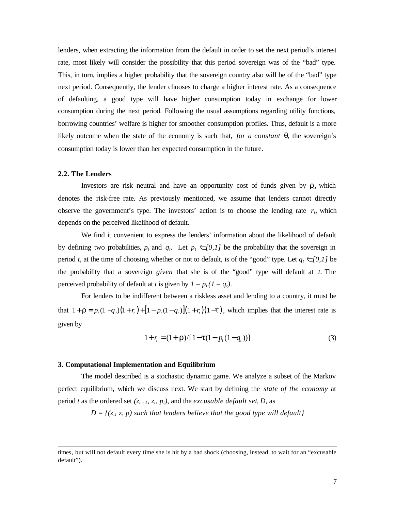lenders, when extracting the information from the default in order to set the next period's interest rate, most likely will consider the possibility that this period sovereign was of the "bad" type. This, in turn, implies a higher probability that the sovereign country also will be of the "bad" type next period. Consequently, the lender chooses to charge a higher interest rate. As a consequence of defaulting, a good type will have higher consumption today in exchange for lower consumption during the next period. Following the usual assumptions regarding utility functions, borrowing countries' welfare is higher for smoother consumption profiles. Thus, default is a more likely outcome when the state of the economy is such that, *for a constant q,* the sovereign's consumption today is lower than her expected consumption in the future.

## **2.2. The Lenders**

l

Investors are risk neutral and have an opportunity cost of funds given by  $r_t$ , which denotes the risk-free rate. As previously mentioned, we assume that lenders cannot directly observe the government's type. The investors' action is to choose the lending rate  $r_t$ , which depends on the perceived likelihood of default.

We find it convenient to express the lenders' information about the likelihood of default by defining two probabilities,  $p_t$  and  $q_t$ . Let  $p_t \in [0,1]$  be the probability that the sovereign in period *t*, at the time of choosing whether or not to default, is of the "good" type. Let  $q_t \in [0,1]$  be the probability that a sovereign *given* that she is of the "good" type will default at *t*. The perceived probability of default at *t* is given by  $I - p_t (I - q_t)$ .

For lenders to be indifferent between a riskless asset and lending to a country, it must be that  $1 + \mathbf{r} = p_r (1 - q_r)(1 + r_r) + [1 - p_r (1 - q_r)] (1 + r_r)(1 - \mathbf{t})$ , which implies that the interest rate is given by

$$
1 + r_t = (1 + r) / [1 - t(1 - p_t(1 - q_t))]
$$
\n(3)

## **3. Computational Implementation and Equilibrium**

The model described is a stochastic dynamic game. We analyze a subset of the Markov perfect equilibrium, which we discuss next. We start by defining the *state of the economy* at period *t* as the ordered set  $(z_{t-1}, z_t, p_t)$ , and the *excusable default set*, *D*, as

 $D = \{(z_i, z_j, p) \text{ such that leaders believe that the good type will default}\}$ 

times, but will not default every time she is hit by a bad shock (choosing, instead, to wait for an "excusable default").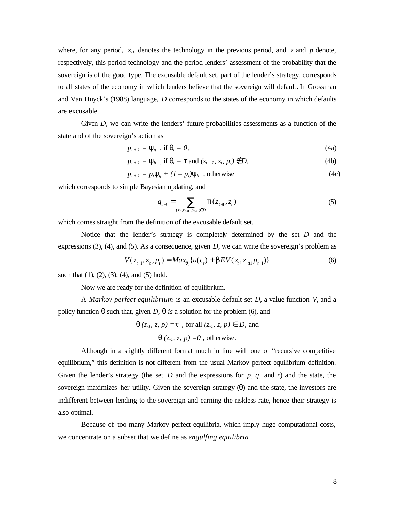where, for any period,  $z_1$  denotes the technology in the previous period, and  $z$  and  $p$  denote, respectively, this period technology and the period lenders' assessment of the probability that the sovereign is of the good type. The excusable default set, part of the lender's strategy, corresponds to all states of the economy in which lenders believe that the sovereign will default. In Grossman and Van Huyck's (1988) language, *D* corresponds to the states of the economy in which defaults are excusable.

Given *D*, we can write the lenders' future probabilities assessments as a function of the state and of the sovereign's action as

$$
p_{t+1} = \mathbf{y}_g \quad \text{, if } \mathbf{q}_t = 0,
$$
\n
$$
(4a)
$$

$$
p_{t+1} = \mathbf{y}_b \quad \text{, if } \mathbf{q}_t = \mathbf{t} \text{ and } (z_{t-1}, z_t, p_t) \mathbf{\check{I}} D,
$$
 (4b)

$$
p_{t+1} = p_t \mathbf{y}_g + (1 - p_t) \mathbf{y}_b \quad \text{otherwise} \tag{4c}
$$

which corresponds to simple Bayesian updating, and

$$
q_{t+1} = \sum_{(z_t, z_{t+1}, p_{t+1}) \in D} p(z_{t+1}, z_t)
$$
 (5)

which comes straight from the definition of the excusable default set.

Notice that the lender's strategy is completely determined by the set *D* and the expressions (3), (4), and (5). As a consequence, given *D*, we can write the sovereign's problem as

$$
V(z_{t-1}, z_t, p_t) = Max_{q_t} \{ u(c_t) + \mathbf{b} EV(z_t, z_{t+1} p_{t+1}) \}
$$
(6)

such that  $(1)$ ,  $(2)$ ,  $(3)$ ,  $(4)$ , and  $(5)$  hold.

Now we are ready for the definition of equilibrium.

A *Markov perfect equilibrium* is an excusable default set *D*, a value function *V*, and a policy function *q* such that, given *D, q is* a solution for the problem (6), and

> *q* (*z*<sub>-1</sub>*, z, p*) = *t* , for all (*z*<sub>-1</sub>*, z, p*)  $\hat{I}$  *D*, and  $q(z_1, z, p) = 0$ , otherwise.

Although in a slightly different format much in line with one of "recursive competitive equilibrium," this definition is not different from the usual Markov perfect equilibrium definition. Given the lender's strategy (the set *D* and the expressions for *p*, *q,* and *r*) and the state, the sovereign maximizes her utility. Given the sovereign strategy (*q*) and the state, the investors are indifferent between lending to the sovereign and earning the riskless rate, hence their strategy is also optimal.

Because of too many Markov perfect equilibria, which imply huge computational costs, we concentrate on a subset that we define as *engulfing equilibria*.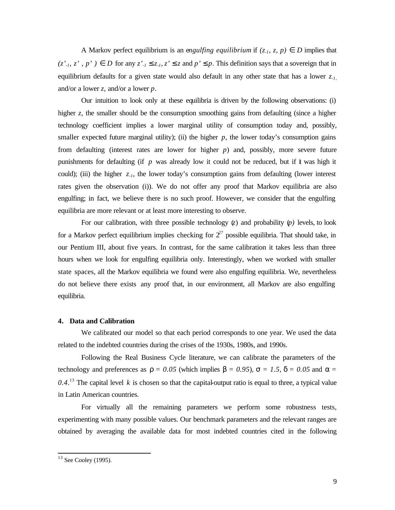A Markov perfect equilibrium is an engulfing equilibrium if  $(z_1, z, p)$   $\hat{I}$  *D* implies that  $(z',_1, z', p')$   $\hat{I}$  *D* for any  $z',_1 \mathcal{L} z,_1, z' \mathcal{L} z$  and  $p' \mathcal{L} p$ . This definition says that a sovereign that in equilibrium defaults for a given state would also default in any other state that has a lower *z-1,* and/or a lower *z,* and/or a lower *p*.

Our intuition to look only at these equilibria is driven by the following observations: (i) higher *z*, the smaller should be the consumption smoothing gains from defaulting (since a higher technology coefficient implies a lower marginal utility of consumption today and, possibly, smaller expected future marginal utility); (ii) the higher  $p$ , the lower today's consumption gains from defaulting (interest rates are lower for higher *p*) and, possibly, more severe future punishments for defaulting (if  $p$  was already low it could not be reduced, but if  $\mathbf t$  was high it could); (iii) the higher *z-1*, the lower today's consumption gains from defaulting (lower interest rates given the observation (i)). We do not offer any proof that Markov equilibria are also engulfing; in fact, we believe there is no such proof. However, we consider that the engulfing equilibria are more relevant or at least more interesting to observe.

For our calibration, with three possible technology  $(z)$  and probability  $(p)$  levels, to look for a Markov perfect equilibrium implies checking for  $2^{27}$  possible equilibria. That should take, in our Pentium III, about five years. In contrast, for the same calibration it takes less than three hours when we look for engulfing equilibria only. Interestingly, when we worked with smaller state spaces, all the Markov equilibria we found were also engulfing equilibria. We, nevertheless do not believe there exists any proof that, in our environment, all Markov are also engulfing equilibria.

#### **4. Data and Calibration**

We calibrated our model so that each period corresponds to one year. We used the data related to the indebted countries during the crises of the 1930s, 1980s, and 1990s.

Following the Real Business Cycle literature, we can calibrate the parameters of the technology and preferences as  $r = 0.05$  (which implies  $\mathbf{b} = 0.95$ ),  $\mathbf{s} = 1.5$ ,  $\mathbf{d} = 0.05$  and  $\mathbf{a} =$ 0.4.<sup>13</sup> The capital level *k* is chosen so that the capital-output ratio is equal to three, a typical value in Latin American countries.

For virtually all the remaining parameters we perform some robustness tests, experimenting with many possible values. Our benchmark parameters and the relevant ranges are obtained by averaging the available data for most indebted countries cited in the following

l

 $13$  See Cooley (1995).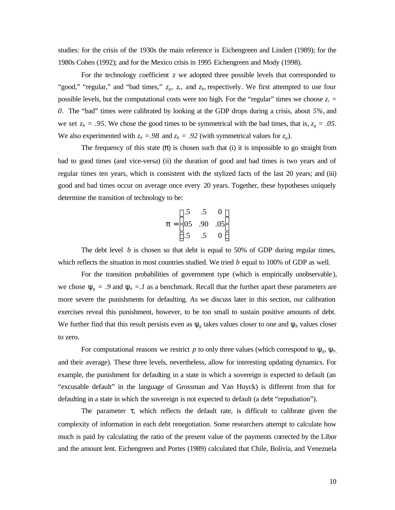studies: for the crisis of the 1930s the main reference is Eichengreen and Lindert (1989); for the 1980s Cohen (1992); and for the Mexico crisis in 1995 Eichengreen and Mody (1998).

For the technology coefficient *z* we adopted three possible levels that corresponded to "good," "regular," and "bad times,"  $z_g$ ,  $z_r$ , and  $z_b$ , respectively. We first attempted to use four possible levels, but the computational costs were too high. For the "regular" times we choose  $z_r =$ *0*. The "bad" times were calibrated by looking at the GDP drops during a crisis, about *5%*, and we set  $z_b = .95$ . We chose the good times to be symmetrical with the bad times, that is,  $z_g = .05$ . We also experimented with  $z_b = .98$  and  $z_b = .92$  (with symmetrical values for  $z_g$ ).

The frequency of this state  $(p)$  is chosen such that (i) it is impossible to go straight from bad to good times (and vice-versa) (ii) the duration of good and bad times is two years and of regular times ten years, which is consistent with the stylized facts of the last 20 years; and (iii) good and bad times occur on average once every 20 years. Together, these hypotheses uniquely determine the transition of technology to be:

$$
\boldsymbol{p} = \begin{bmatrix} .5 & .5 & 0 \\ .05 & .90 & .05 \\ .5 & .5 & 0 \end{bmatrix}
$$

The debt level  $\bar{b}$  is chosen so that debt is equal to 50% of GDP during regular times, which reflects the situation in most countries studied. We tried *b* equal to 100% of GDP as well.

For the transition probabilities of government type (which is empirically unobservable), we chose  $y_g = .9$  and  $y_b = .1$  as a benchmark. Recall that the further apart these parameters are more severe the punishments for defaulting. As we discuss later in this section, our calibration exercises reveal this punishment, however, to be too small to sustain positive amounts of debt. We further find that this result persists even as  $y_g$  takes values closer to one and  $y_b$  values closer to zero.

For computational reasons we restrict  $p$  to only three values (which correspond to  $y_g$ ,  $y_b$ , and their average). These three levels, nevertheless, allow for interesting updating dynamics. For example, the punishment for defaulting in a state in which a sovereign is expected to default (an "excusable default" in the language of Grossman and Van Huyck) is different from that for defaulting in a state in which the sovereign is not expected to default (a debt "repudiation").

The parameter  $t$ , which reflects the default rate, is difficult to calibrate given the complexity of information in each debt renegotiation. Some researchers attempt to calculate how much is paid by calculating the ratio of the present value of the payments corrected by the Libor and the amount lent. Eichengreen and Portes (1989) calculated that Chile, Bolivia, and Venezuela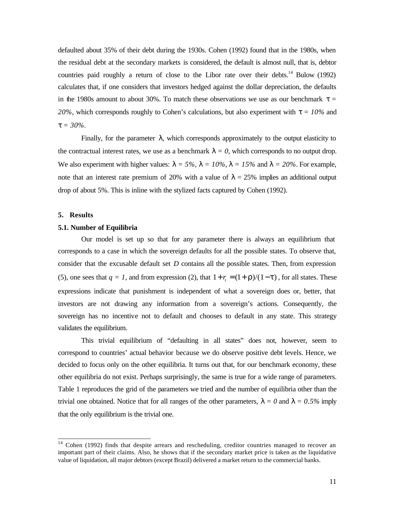defaulted about 35% of their debt during the 1930s. Cohen (1992) found that in the 1980s, when the residual debt at the secondary markets is considered, the default is almost null, that is, debtor countries paid roughly a return of close to the Libor rate over their debts.<sup>14</sup> Bulow (1992) calculates that, if one considers that investors hedged against the dollar depreciation, the defaults in the 1980s amount to about 30%. To match these observations we use as our benchmark  $t =$ *20%*, which corresponds roughly to Cohen's calculations, but also experiment with *t = 10%* and  $t = 30\%$ .

Finally, for the parameter *l*, which corresponds approximately to the output elasticity to the contractual interest rates, we use as a benchmark  $\mathbf{l} = 0$ , which corresponds to no output drop. We also experiment with higher values:  $l = 5\%$ ,  $l = 10\%$ ,  $l = 15\%$  and  $l = 20\%$ . For example, note that an interest rate premium of 20% with a value of  $I = 25%$  implies an additional output drop of about 5%. This is inline with the stylized facts captured by Cohen (1992).

#### **5. Results**

l

#### **5.1. Number of Equilibria**

Our model is set up so that for any parameter there is always an equilibrium that corresponds to a case in which the sovereign defaults for all the possible states. To observe that, consider that the excusable default set *D* contains all the possible states. Then, from expression (5), one sees that  $q = 1$ , and from expression (2), that  $1 + r = (1 + r)/(1 - t)$ , for all states. These expressions indicate that punishment is independent of what a sovereign does or, better, that investors are not drawing any information from a sovereign's actions. Consequently, the sovereign has no incentive not to default and chooses to default in any state. This strategy validates the equilibrium.

This trivial equilibrium of "defaulting in all states" does not, however, seem to correspond to countries' actual behavior because we do observe positive debt levels. Hence, we decided to focus only on the other equilibria. It turns out that, for our benchmark economy, these other equilibria do not exist. Perhaps surprisingly, the same is true for a wide range of parameters. Table 1 reproduces the grid of the parameters we tried and the number of equilibria other than the trivial one obtained. Notice that for all ranges of the other parameters,  $\mathbf{l} = 0$  and  $\mathbf{l} = 0.5\%$  imply that the only equilibrium is the trivial one.

 $14$  Cohen (1992) finds that despite arrears and rescheduling, creditor countries managed to recover an important part of their claims. Also, he shows that if the secondary market price is taken as the liquidative value of liquidation, all major debtors (except Brazil) delivered a market return to the commercial banks.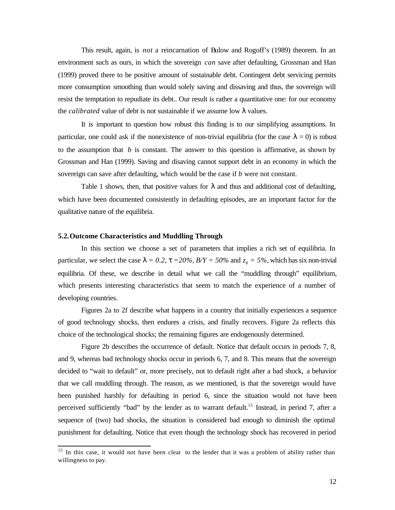This result, again, is *not* a reincarnation of Bulow and Rogoff's (1989) theorem. In an environment such as ours, in which the sovereign *can* save after defaulting, Grossman and Han (1999) proved there to be positive amount of sustainable debt. Contingent debt servicing permits more consumption smoothing than would solely saving and dissaving and thus, the sovereign will resist the temptation to repudiate its debt.. Our result is rather a quantitative one: for our economy the *calibrated* value of debt is not sustainable if we assume low *l* values.

It is important to question how robust this finding is to our simplifying assumptions. In particular, one could ask if the nonexistence of non-trivial equilibria (for the case  $\hat{l} = 0$ ) is robust to the assumption that *b* is constant. The answer to this question is affirmative, as shown by Grossman and Han (1999). Saving and disaving cannot support debt in an economy in which the sovereign can save after defaulting, which would be the case if *b* were not constant.

Table 1 shows, then, that positive values for *l* and thus and additional cost of defaulting, which have been documented consistently in defaulting episodes, are an important factor for the qualitative nature of the equilibria.

#### **5.2.Outcome Characteristics and Muddling Through**

l

In this section we choose a set of parameters that implies a rich set of equilibria. In particular, we select the case  $I = 0.2$ ,  $t = 20\%$ ,  $B/Y = 50\%$  and  $z_g = 5\%$ , which has six non-trivial equilibria. Of these, we describe in detail what we call the "muddling through" equilibrium, which presents interesting characteristics that seem to match the experience of a number of developing countries.

Figures 2a to 2f describe what happens in a country that initially experiences a sequence of good technology shocks, then endures a crisis, and finally recovers. Figure 2a reflects this choice of the technological shocks; the remaining figures are endogenously determined.

Figure 2b describes the occurrence of default. Notice that default occurs in periods 7, 8, and 9, whereas bad technology shocks occur in periods 6, 7, and 8. This means that the sovereign decided to "wait to default" or, more precisely, not to default right after a bad shock, a behavior that we call muddling through. The reason, as we mentioned, is that the sovereign would have been punished harshly for defaulting in period 6, since the situation would not have been perceived sufficiently "bad" by the lender as to warrant default.<sup>15</sup> Instead, in period 7, after a sequence of (two) bad shocks, the situation is considered bad enough to diminish the optimal punishment for defaulting. Notice that even though the technology shock has recovered in period

<sup>&</sup>lt;sup>15</sup> In this case, it would not have been clear to the lender that it was a problem of ability rather than willingness to pay.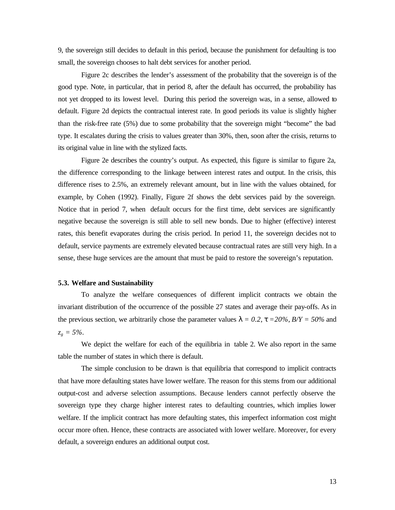9, the sovereign still decides to default in this period, because the punishment for defaulting is too small, the sovereign chooses to halt debt services for another period.

Figure 2c describes the lender's assessment of the probability that the sovereign is of the good type. Note, in particular, that in period 8, after the default has occurred, the probability has not yet dropped to its lowest level. During this period the sovereign was, in a sense, allowed to default. Figure 2d depicts the contractual interest rate. In good periods its value is slightly higher than the risk-free rate (5%) due to some probability that the sovereign might "become" the bad type. It escalates during the crisis to values greater than 30%, then, soon after the crisis, returns to its original value in line with the stylized facts.

Figure 2e describes the country's output. As expected, this figure is similar to figure 2a, the difference corresponding to the linkage between interest rates and output. In the crisis, this difference rises to 2.5%, an extremely relevant amount, but in line with the values obtained, for example, by Cohen (1992). Finally, Figure 2f shows the debt services paid by the sovereign. Notice that in period 7, when default occurs for the first time, debt services are significantly negative because the sovereign is still able to sell new bonds. Due to higher (effective) interest rates, this benefit evaporates during the crisis period. In period 11, the sovereign decides not to default, service payments are extremely elevated because contractual rates are still very high. In a sense, these huge services are the amount that must be paid to restore the sovereign's reputation.

#### **5.3. Welfare and Sustainability**

To analyze the welfare consequences of different implicit contracts we obtain the invariant distribution of the occurrence of the possible 27 states and average their pay-offs. As in the previous section, we arbitrarily chose the parameter values  $\mathbf{l} = 0.2$ ,  $\mathbf{t} = 20\%$ ,  $\mathbf{B}/\mathbf{Y} = 50\%$  and  $z_e = 5\%$ .

We depict the welfare for each of the equilibria in table 2. We also report in the same table the number of states in which there is default.

The simple conclusion to be drawn is that equilibria that correspond to implicit contracts that have more defaulting states have lower welfare. The reason for this stems from our additional output-cost and adverse selection assumptions. Because lenders cannot perfectly observe the sovereign type they charge higher interest rates to defaulting countries, which implies lower welfare. If the implicit contract has more defaulting states, this imperfect information cost might occur more often. Hence, these contracts are associated with lower welfare. Moreover, for every default, a sovereign endures an additional output cost.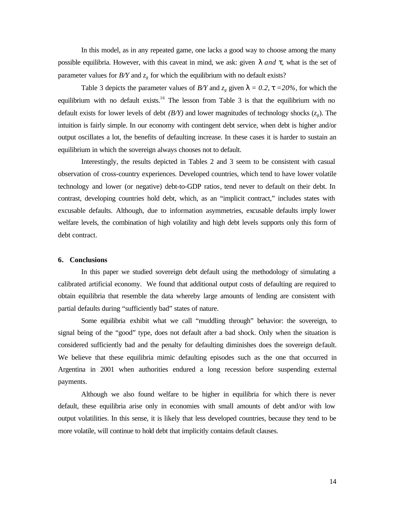In this model, as in any repeated game, one lacks a good way to choose among the many possible equilibria. However, with this caveat in mind, we ask: given *l and t*, what is the set of parameter values for  $B/Y$  and  $z_g$  for which the equilibrium with no default exists?

Table 3 depicts the parameter values of *B/Y* and  $z_g$  given  $\mathbf{l} = 0.2$ ,  $\mathbf{t} = 20\%$ , for which the equilibrium with no default exists.<sup>16</sup> The lesson from Table 3 is that the equilibrium with no default exists for lower levels of debt *(B/Y)* and lower magnitudes of technology shocks (*zg*). The intuition is fairly simple. In our economy with contingent debt service, when debt is higher and/or output oscillates a lot, the benefits of defaulting increase. In these cases it is harder to sustain an equilibrium in which the sovereign always chooses not to default.

Interestingly, the results depicted in Tables 2 and 3 seem to be consistent with casual observation of cross-country experiences. Developed countries, which tend to have lower volatile technology and lower (or negative) debt-to-GDP ratios, tend never to default on their debt. In contrast, developing countries hold debt, which, as an "implicit contract," includes states with excusable defaults. Although, due to information asymmetries, excusable defaults imply lower welfare levels, the combination of high volatility and high debt levels supports only this form of debt contract.

#### **6. Conclusions**

In this paper we studied sovereign debt default using the methodology of simulating a calibrated artificial economy. We found that additional output costs of defaulting are required to obtain equilibria that resemble the data whereby large amounts of lending are consistent with partial defaults during "sufficiently bad" states of nature.

Some equilibria exhibit what we call "muddling through" behavior: the sovereign, to signal being of the "good" type, does not default after a bad shock. Only when the situation is considered sufficiently bad and the penalty for defaulting diminishes does the sovereign default. We believe that these equilibria mimic defaulting episodes such as the one that occurred in Argentina in 2001 when authorities endured a long recession before suspending external payments.

Although we also found welfare to be higher in equilibria for which there is never default, these equilibria arise only in economies with small amounts of debt and/or with low output volatilities. In this sense, it is likely that less developed countries, because they tend to be more volatile, will continue to hold debt that implicitly contains default clauses.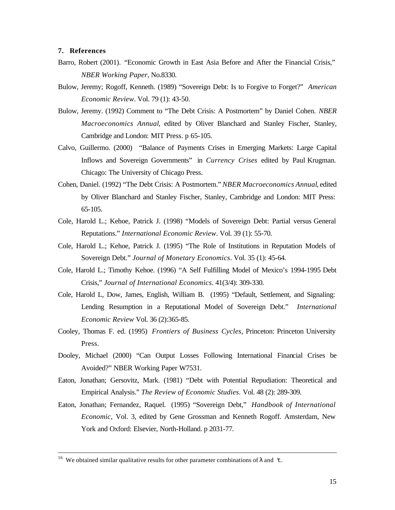# **7. References**

l

- Barro, Robert (2001). "Economic Growth in East Asia Before and After the Financial Crisis," *NBER Working Paper*, No.8330.
- Bulow, Jeremy; Rogoff, Kenneth. (1989) "Sovereign Debt: Is to Forgive to Forget?" *American Economic Review*. Vol. 79 (1): 43-50.
- Bulow, Jeremy. (1992) Comment to "The Debt Crisis: A Postmortem" by Daniel Cohen. *NBER Macroeconomics Annual*, edited by Oliver Blanchard and Stanley Fischer, Stanley, Cambridge and London: MIT Press. p 65-105.
- Calvo, Guillermo. (2000) "Balance of Payments Crises in Emerging Markets: Large Capital Inflows and Sovereign Governments" in *Currency Crises* edited by Paul Krugman. Chicago: The University of Chicago Press.
- Cohen, Daniel. (1992) "The Debt Crisis: A Postmortem." *NBER Macroeconomics Annual*, edited by Oliver Blanchard and Stanley Fischer, Stanley, Cambridge and London: MIT Press: 65-105.
- Cole, Harold L.; Kehoe, Patrick J. (1998) "Models of Sovereign Debt: Partial versus General Reputations." *International Economic Review*. Vol. 39 (1): 55-70.
- Cole, Harold L.; Kehoe, Patrick J. (1995) "The Role of Institutions in Reputation Models of Sovereign Debt." *Journal of Monetary Economics*. Vol. 35 (1): 45-64.
- Cole, Harold L.; Timothy Kehoe. (1996) "A Self Fulfilling Model of Mexico's 1994-1995 Debt Crisis," *Journal of International Economics*. 41(3/4): 309-330.
- Cole, Harold L, Dow, James, English, William B. (1995) "Default, Settlement, and Signaling: Lending Resumption in a Reputational Model of Sovereign Debt." *International Economic Review* Vol. 36 (2):365-85.
- Cooley, Thomas F. ed. (1995) *Frontiers of Business Cycles,* Princeton: Princeton University Press.
- Dooley, Michael (2000) "Can Output Losses Following International Financial Crises be Avoided?" NBER Working Paper W7531.
- Eaton, Jonathan; Gersovitz, Mark. (1981) "Debt with Potential Repudiation: Theoretical and Empirical Analysis." *The Review of Economic Studies.* Vol. 48 (2): 289-309.
- Eaton, Jonathan; Fernandez, Raquel. (1995) "Sovereign Debt," *Handbook of International Economic,* Vol. 3, edited by Gene Grossman and Kenneth Rogoff. Amsterdam, New York and Oxford: Elsevier, North-Holland. p 2031-77.

<sup>16</sup> We obtained similar qualitative results for other parameter combinations of *l* and *t.*.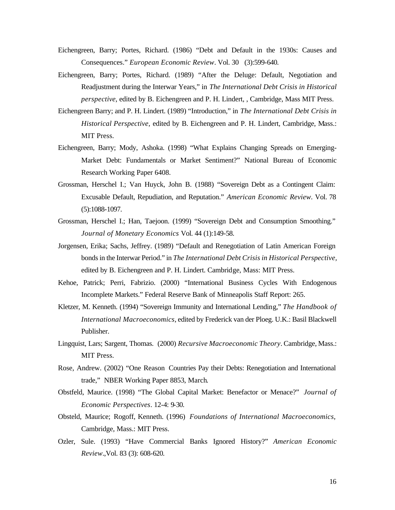- Eichengreen, Barry; Portes, Richard. (1986) "Debt and Default in the 1930s: Causes and Consequences." *European Economic Review*. Vol. 30 (3):599-640.
- Eichengreen, Barry; Portes, Richard. (1989) "After the Deluge: Default, Negotiation and Readjustment during the Interwar Years," in *The International Debt Crisis in Historical perspective*, edited by B. Eichengreen and P. H. Lindert, , Cambridge, Mass MIT Press.
- Eichengreen Barry; and P. H. Lindert. (1989) "Introduction," in *The International Debt Crisis in Historical Perspective,* edited by B. Eichengreen and P. H. Lindert, Cambridge, Mass.: MIT Press.
- Eichengreen, Barry; Mody, Ashoka. (1998) "What Explains Changing Spreads on Emerging-Market Debt: Fundamentals or Market Sentiment?" National Bureau of Economic Research Working Paper 6408.
- Grossman, Herschel I.; Van Huyck, John B. (1988) "Sovereign Debt as a Contingent Claim: Excusable Default, Repudiation, and Reputation." *American Economic Review.* Vol. 78 (5):1088-1097.
- Grossman, Herschel I.; Han, Taejoon. (1999) "Sovereign Debt and Consumption Smoothing." *Journal of Monetary Economics* Vol. 44 (1):149-58.
- Jorgensen, Erika; Sachs, Jeffrey. (1989) "Default and Renegotiation of Latin American Foreign bonds in the Interwar Period." in *The International Debt Crisis in Historical Perspective,* edited by B. Eichengreen and P. H. Lindert. Cambridge, Mass: MIT Press.
- Kehoe, Patrick; Perri, Fabrizio. (2000) "International Business Cycles With Endogenous Incomplete Markets." Federal Reserve Bank of Minneapolis Staff Report: 265.
- Kletzer, M. Kenneth. (1994) "Sovereign Immunity and International Lending," *The Handbook of International Macroeconomics*, edited by Frederick van der Ploeg. U.K.: Basil Blackwell Publisher.
- Lingquist, Lars; Sargent, Thomas. (2000) *Recursive Macroeconomic Theory*. Cambridge, Mass.: MIT Press.
- Rose, Andrew. (2002) "One Reason Countries Pay their Debts: Renegotiation and International trade," NBER Working Paper 8853, March.
- Obstfeld, Maurice. (1998) "The Global Capital Market: Benefactor or Menace?" *Journal of Economic Perspectives*. 12-4: 9-30.
- Obsteld, Maurice; Rogoff, Kenneth. (1996) *Foundations of International Macroeconomics,*  Cambridge, Mass.: MIT Press.
- Ozler, Sule. (1993) "Have Commercial Banks Ignored History?" *American Economic Review*.,Vol. 83 (3): 608-620.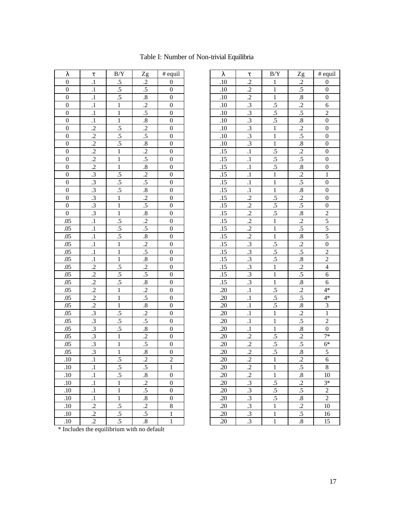| λ                | τ          | B/Y                                        | Zg                | $#$ equil        | λ   | τ          | $\rm\,B/Y$     | Zg                | # equ            |
|------------------|------------|--------------------------------------------|-------------------|------------------|-----|------------|----------------|-------------------|------------------|
| $\mathbf{0}$     | $\cdot$    | $\cdot$ 5                                  | $\cdot$           | $\mathbf{0}$     | .10 | $\cdot$ .2 | $\mathbf{1}$   | $\cdot$           | $\boldsymbol{0}$ |
| $\boldsymbol{0}$ | $\cdot$    | $\cdot$ 5                                  | $\cdot$ 5         | $\boldsymbol{0}$ | .10 | $\cdot$ .2 | $\mathbf{1}$   | $\cdot$ 5         | $\boldsymbol{0}$ |
| $\boldsymbol{0}$ | $\cdot$    | $\cdot$ 5                                  | $\boldsymbol{.8}$ | $\boldsymbol{0}$ | .10 | $\cdot$    | $\mathbf{1}$   | $.8\,$            | $\boldsymbol{0}$ |
| $\boldsymbol{0}$ | $\cdot$    | 1                                          | $\cdot$           | $\boldsymbol{0}$ | .10 | $\cdot$ 3  | $\cdot$ 5      | $\cdot$           | $\sqrt{6}$       |
| $\boldsymbol{0}$ | $\cdot$    | $\mathbf{1}$                               | $\cdot$ 5         | $\boldsymbol{0}$ | .10 | $\cdot$ 3  | $\cdot$ 5      | $\cdot$ 5         | $\overline{c}$   |
| $\boldsymbol{0}$ | $\cdot$    | 1                                          | $\boldsymbol{.8}$ | $\boldsymbol{0}$ | .10 | $\cdot$ 3  | $\cdot$ 5      | $\boldsymbol{.8}$ | $\boldsymbol{0}$ |
| $\boldsymbol{0}$ | $\cdot$ .2 | $\cdot$ 5                                  | $\cdot$           | $\boldsymbol{0}$ | .10 | $\cdot$ 3  | $\mathbf{1}$   | $\cdot$           | $\boldsymbol{0}$ |
| $\boldsymbol{0}$ | $\cdot$    | $\cdot$ 5                                  | $\cdot$ 5         | $\boldsymbol{0}$ | .10 | $\cdot$ 3  | $\mathbf{1}$   | $.5\,$            | $\boldsymbol{0}$ |
| $\boldsymbol{0}$ | $\cdot$    | $\cdot$ 5                                  | $\boldsymbol{.8}$ | $\boldsymbol{0}$ | .10 | $\cdot$ 3  | $\mathbf{1}$   | $\boldsymbol{.8}$ | $\boldsymbol{0}$ |
| $\boldsymbol{0}$ | $\cdot$    | 1                                          | $\cdot$           | $\boldsymbol{0}$ | .15 | $\cdot$    | $\cdot$ 5      | $\cdot$           | $\boldsymbol{0}$ |
| $\boldsymbol{0}$ | $\cdot$    | $\mathbf{1}$                               | $\cdot$ 5         | $\boldsymbol{0}$ | .15 | $\cdot$    | $\cdot$ 5      | $\cdot$ 5         | $\boldsymbol{0}$ |
| $\boldsymbol{0}$ | $\cdot$    | $\mathbf{1}$                               | $\boldsymbol{.8}$ | $\boldsymbol{0}$ | .15 | $\cdot$    | $\cdot$ 5      | $\boldsymbol{.8}$ | $\boldsymbol{0}$ |
| $\boldsymbol{0}$ | $\cdot$ 3  | $\cdot$ 5                                  | $\cdot$           | $\boldsymbol{0}$ | .15 | $\cdot$    | $\mathbf{1}$   | $\cdot$           | $\mathbf{1}$     |
| $\boldsymbol{0}$ | $\cdot$ 3  | $\cdot$ 5                                  | $\cdot$ 5         | $\boldsymbol{0}$ | .15 | $\cdot$    | $\mathbf{1}$   | $\cdot$ 5         | $\boldsymbol{0}$ |
| $\boldsymbol{0}$ | $\cdot$ 3  | $\cdot$ 5                                  | $\boldsymbol{.8}$ | $\boldsymbol{0}$ | .15 | $\cdot$    | $\mathbf{1}$   | $\boldsymbol{.8}$ | $\boldsymbol{0}$ |
| $\boldsymbol{0}$ | $\cdot$ 3  | $\mathbf{1}$                               | $\cdot$           | $\boldsymbol{0}$ | .15 | $\cdot$ .2 | $\cdot$ 5      | $\cdot$           | $\boldsymbol{0}$ |
| $\boldsymbol{0}$ | $\cdot$ 3  | $\mathbf{1}$                               | $\cdot$ 5         | $\boldsymbol{0}$ | .15 | $\cdot$    | $\cdot$ 5      | $\cdot$ 5         | $\boldsymbol{0}$ |
| $\boldsymbol{0}$ | $\cdot$ 3  | 1                                          | $\boldsymbol{.8}$ | $\boldsymbol{0}$ | .15 | $\cdot$    | $\cdot$ 5      | $\boldsymbol{.8}$ | $\overline{c}$   |
| .05              | $\cdot$    | $\cdot$ 5                                  | $\cdot$           | $\boldsymbol{0}$ | .15 | $\cdot$    | $\mathbf{1}$   | $\cdot$           | $\mathfrak{S}$   |
| .05              | $\cdot$    | $\cdot$ 5                                  | $\cdot$ 5         | $\boldsymbol{0}$ | .15 | $\cdot$    | $\mathbf{1}$   | $\cdot$ 5         | $\mathfrak{S}$   |
| .05              | $\cdot$    | $\cdot$ 5                                  | $\boldsymbol{.8}$ | $\boldsymbol{0}$ | .15 | $\cdot$    | $\mathbf{1}$   | $\boldsymbol{.8}$ | $\mathfrak{S}$   |
| .05              | $\cdot$    | $\mathbf{1}$                               | $\cdot$           | $\boldsymbol{0}$ | .15 | $\cdot$ 3  | $\cdot$ 5      | $\cdot$ .2        | $\boldsymbol{0}$ |
| .05              | $\cdot$    | $\mathbf{1}$                               | .5                | $\boldsymbol{0}$ | .15 | $\cdot$ 3  | $\cdot$ .5     | $\cdot$ 5         | $\overline{2}$   |
| .05              | $\cdot$    | 1                                          | $\boldsymbol{.8}$ | $\boldsymbol{0}$ | .15 | $\cdot$ 3  | $\cdot$ .5     | $.8\,$            | $\boldsymbol{2}$ |
| .05              | $\cdot$    | $\cdot$ 5                                  | $\cdot$           | $\boldsymbol{0}$ | .15 | $\cdot$ 3  | $\mathbf{1}$   | $\cdot$           | $\overline{4}$   |
| .05              | $\cdot$    | $\cdot$ 5                                  | $\cdot$ 5         | $\boldsymbol{0}$ | .15 | $\cdot$ 3  | $\mathbf{1}$   | $\cdot$ .5        | $\sqrt{6}$       |
| .05              | $\cdot$    | .5                                         | $\boldsymbol{.8}$ | $\boldsymbol{0}$ | .15 | $\cdot$ 3  | $\mathbf{1}$   | $.8\,$            | $\sqrt{6}$       |
| .05              | $\cdot$    | $\mathbf{1}$                               | $\cdot$           | $\boldsymbol{0}$ | .20 | $\cdot$    | $\cdot$ 5      | $\cdot$           | $4*$             |
| .05              | $\cdot$    | $\mathbf{1}$                               | $\cdot$ 5         | $\boldsymbol{0}$ | .20 | $\cdot$    | $\cdot$ 5      | $\cdot$ 5         | $4*$             |
| .05              | $\cdot$    | 1                                          | $\boldsymbol{.8}$ | $\boldsymbol{0}$ | .20 | $\cdot$    | $\cdot$ 5      | $.8\,$            | $\mathfrak{Z}$   |
| .05              | $\cdot$ 3  | $\cdot$ 5                                  | $\cdot$           | $\boldsymbol{0}$ | .20 | $\cdot$    | $\mathbf{1}$   | $\cdot$           | $\mathbf{1}$     |
| .05              | $\cdot$ 3  | $\cdot$ 5                                  | $.5\,$            | $\boldsymbol{0}$ | .20 | $\cdot$    | $\mathbf{1}$   | $\cdot$ .5        | $\sqrt{2}$       |
| .05              | $\cdot$ 3  | .5                                         | $\boldsymbol{.8}$ | $\boldsymbol{0}$ | .20 | $\cdot$    | $\mathbf{1}$   | $.8\,$            | $\boldsymbol{0}$ |
| .05              | $\cdot$ 3  | $\mathbf{1}$                               | $\cdot$           | $\boldsymbol{0}$ | .20 | $\cdot$    | $\cdot$ 5      | $\cdot$           | $7*$             |
| .05              | $\cdot$ 3  | $\mathbf{1}$                               | $\cdot$ 5         | $\boldsymbol{0}$ | .20 | $\cdot$    | $\cdot$ 5      | $.5\,$            | $6*$             |
| .05              | $\cdot$ 3  | 1                                          | $.8\,$            | $\boldsymbol{0}$ | .20 | $\cdot$    | $\mathfrak{L}$ | $.8\,$            | $\sqrt{5}$       |
| .10              | $\cdot$    | .5                                         | .2                | 2                | .20 | $\cdot$    | $\mathbf{1}$   | .2                | 6                |
| .10              | $\cdot$    | $\cdot$ .5                                 | $.5\,$            | 1                | .20 | $\cdot$    | $\mathbf{1}$   | $.5\,$            | $\,8\,$          |
| .10              | $\cdot$    | .5                                         | $\boldsymbol{.8}$ | $\boldsymbol{0}$ | .20 | $\cdot$    | $\mathbf{1}$   | $.8\,$            | 10               |
| .10              | $\cdot$    | $\mathbf{1}$                               | $\cdot$ .2        | $\boldsymbol{0}$ | .20 | $\cdot$ 3  | $\cdot$ 5      | $\cdot$           | $3*$             |
| .10              | $\cdot$    | $\mathbf{1}$                               | $\cdot$ .5        | $\boldsymbol{0}$ | .20 | $\cdot$ 3  | $.5\,$         | $.5\,$            | $\boldsymbol{2}$ |
| .10              | $\cdot$    | $\mathbf{1}$                               | $\boldsymbol{.8}$ | $\boldsymbol{0}$ | .20 | $\cdot$ 3  | $.5\,$         | $.8\,$            | $\overline{c}$   |
| .10              | $\cdot$    | $\cdot$ .5                                 | $\cdot$ .2        | 8                | .20 | $\cdot$ 3  | $\mathbf{1}$   | $\cdot$ .2        | 10               |
| .10              | $\cdot$    | $\cdot$ .5                                 | $\cdot$ .5        | 1                | .20 | $\cdot$ 3  | $\mathbf{1}$   | $\mathfrak{L}$    | 16               |
| $.10\,$          | $\cdot$    | $.5\,$                                     | $\boldsymbol{.8}$ | 1                | .20 | $\cdot$ 3  | $\mathbf{1}$   | $\boldsymbol{.8}$ | 15               |
|                  |            | * Includes the coultiprium with no defeult |                   |                  |     |            |                |                   |                  |

# $\lambda$  |  $\tau$  | B/Y | Zg | # equil |  $\lambda$  |  $\tau$  | B/Y | Zg | # equil  $0 \quad 1 \quad 5 \quad 2 \quad 0 \quad 10 \quad 2 \quad 1 \quad 2 \quad 0$  $0 \quad 1 \quad .5 \quad 5 \quad 6 \quad 0 \quad 1 \quad .10 \quad 2 \quad 1 \quad .5 \quad 0$  $0 \quad 1 \quad .5 \quad 8 \quad 0 \quad 10 \quad .2 \quad 1 \quad .8 \quad 0$ 0  $1 \mid 1 \mid 2 \mid 0 \mid 10 \mid 3 \mid 5 \mid 2 \mid 6$ 0  $1 \mid 1 \mid 5 \mid 0 \mid 10 \mid 3 \mid 5 \mid 5 \mid 2$  $0 \quad 1 \quad 1 \quad 3 \quad 8 \quad 0 \quad 1 \quad 1.0 \quad 3 \quad 5 \quad 8 \quad 0$  $0 \mid .2 \mid .5 \mid .2 \mid 0 \mid .10 \mid .3 \mid 1 \mid .2 \mid 0$  $0 \mid .2 \mid .5 \mid .5 \mid 0 \mid .10 \mid .3 \mid 1 \mid .5 \mid 0$  $0 \quad 2 \quad 5 \quad 8 \quad 0 \quad 10 \quad 3 \quad 1 \quad 8 \quad 0$  $0 \quad 2 \quad 1 \quad 2 \quad 0 \quad 1 \quad 1.5 \quad 1 \quad 5 \quad 2 \quad 0$  $0 \quad 2 \quad 1 \quad 5 \quad 0 \quad 1 \quad 1.5 \quad 1 \quad 5 \quad 5 \quad 0$  $0 \quad 2 \quad 1 \quad 8 \quad 0 \quad 1 \quad 1.5 \quad 1 \quad 5 \quad 8 \quad 0$ 0  $.3$   $.5$   $.2$  0  $.1$   $.1$   $1$   $.2$  1  $0 \quad 3 \quad 5 \quad 5 \quad 0 \quad 1 \quad 1 \quad 1 \quad 5 \quad 0$  $0 \quad 3 \quad 5 \quad 8 \quad 0 \quad 1 \quad 1 \quad 1 \quad 8 \quad 0$ 0  $.3$   $1$   $.2$   $0$   $.15$   $.2$   $.5$   $.2$   $.2$  0 0  $.3$   $1$   $.5$   $0$   $1$   $.15$   $.2$   $.5$   $.5$   $.5$  0 0  $.3$   $1$   $.8$   $0$   $1$   $.15$   $.2$   $.5$   $.8$   $.2$  $.05$   $.1$   $.5$   $.2$   $.0$   $.1$   $.15$   $.2$   $.1$   $.2$   $.5$  $.05$   $.1$   $.5$   $.5$   $.5$  0  $.1$   $.15$   $.2$   $.1$   $.5$   $.5$   $.5$  $.05 \quad | \quad .1 \quad | \quad .5 \quad | \quad .8 \quad | \quad 0 \quad | \quad | \quad .15 \quad | \quad .2 \quad | \quad 1 \quad | \quad .8 \quad | \quad 5$ .05 .1 1 .2 0 .15 .3 .5 .2 0  $.05$   $.1$   $1$   $1$   $.5$   $0$   $.15$   $.3$   $.5$   $.5$   $.5$  2  $.05 \quad | \quad 1 \quad | \quad 1 \quad | \quad 8 \quad | \quad 0 \quad | \quad 15 \quad | \quad .3 \quad | \quad 5 \quad | \quad 8 \quad | \quad 2$ .05 .2 .5 .2 0 .15 .3 1 .2 4 .05 .2 .5 .5 0 .15 .3 1 .5 6 .05 .2 .5 .8 0 .15 .3 1 .8 6 .05 .2 1 .2 0 .20 .1 .5 .2 4\* .05 .2 1 .5 0 .20 .1 .5 .5 4\* .05 .2 1 .8 0 .20 .1 .5 .8 3 .05 .3 .5 .2 0 .20 .1 1 .2 1 .05 .3 .5 .5 0 .20 .1 1 .5 2 .05 .3 .5 .8 0 .20 .1 1 .8 0 .05 .3 1 .2 0 .20 .2 .5 .2 7\* .05 .3 1 .5 0 .20 .2 .5 .5 6\* .05 .3 1 .8 0 .20 .2 .5 .8 5  $10 \quad 1 \quad 5 \quad 2 \quad 2 \quad 2 \quad 2 \quad 2 \quad 2 \quad 2 \quad 2 \quad 1 \quad 2 \quad 6$  $10 \quad 1 \quad 5 \quad 5 \quad 5 \quad 1 \quad 20 \quad 2 \quad 1 \quad 5 \quad 8$  $10 \quad 1 \quad 5 \quad 8 \quad 0 \quad 1 \quad 20 \quad 2 \quad 1 \quad 8 \quad 10$  $.10 \quad 1 \quad 1 \quad 2 \quad 0 \quad 0 \quad 3 \quad .3 \quad 5 \quad 2 \quad 3^*$  $10 \quad 1 \quad 1 \quad 1 \quad 5 \quad 0 \quad 20 \quad 3 \quad 5 \quad 5 \quad 2$  $10 \quad 1 \quad 1 \quad 1 \quad 8 \quad 0 \quad 1 \quad 20 \quad 3 \quad 5 \quad 8 \quad 2$  $.10 \quad 2 \quad 5 \quad 5 \quad 2 \quad 8 \quad 1 \quad 20 \quad 3 \quad 1 \quad 2 \quad 10$  $.10 \quad 2 \quad 5 \quad 5 \quad 1 \quad 1 \quad 20 \quad 3 \quad 1 \quad 5 \quad 16$

# Table I: Number of Non-trivial Equilibria

Includes the equilibrium with no default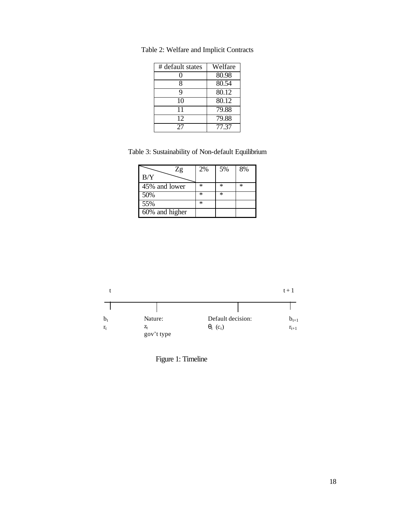| # default states | Welfare |
|------------------|---------|
|                  | 80.98   |
| 8                | 80.54   |
| 9                | 80.12   |
| 10               | 80.12   |
| 11               | 79.88   |
| 12               | 79.88   |
| 27               | 77.37   |

Table 2: Welfare and Implicit Contracts

Table 3: Sustainability of Non-default Equilibrium

| Ζg             | 2% | 5% | 8% |
|----------------|----|----|----|
| B/Y            |    |    |    |
| 45% and lower  | *  | ∗  | *  |
| 50%            | ∗  | ∗  |    |
| 55%            | ∗  |    |    |
| 60% and higher |    |    |    |



Figure 1: Timeline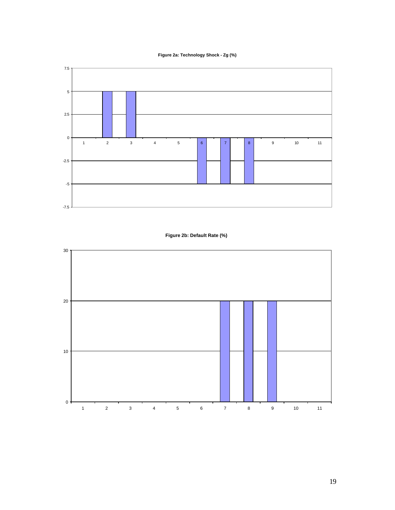**Figure 2a: Technology Shock - Zg (%)**



#### **Figure 2b: Default Rate (%)**

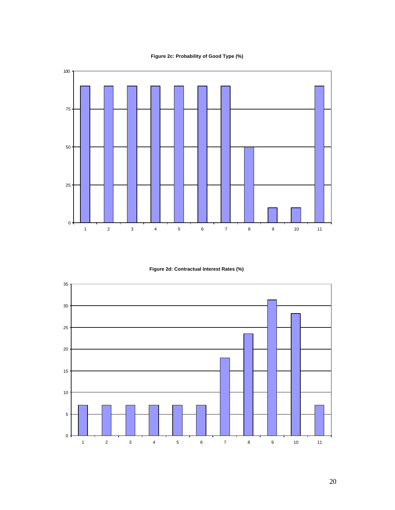**Figure 2c: Probability of Good Type (%)**



**Figure 2d: Contractual Interest Rates (%)**